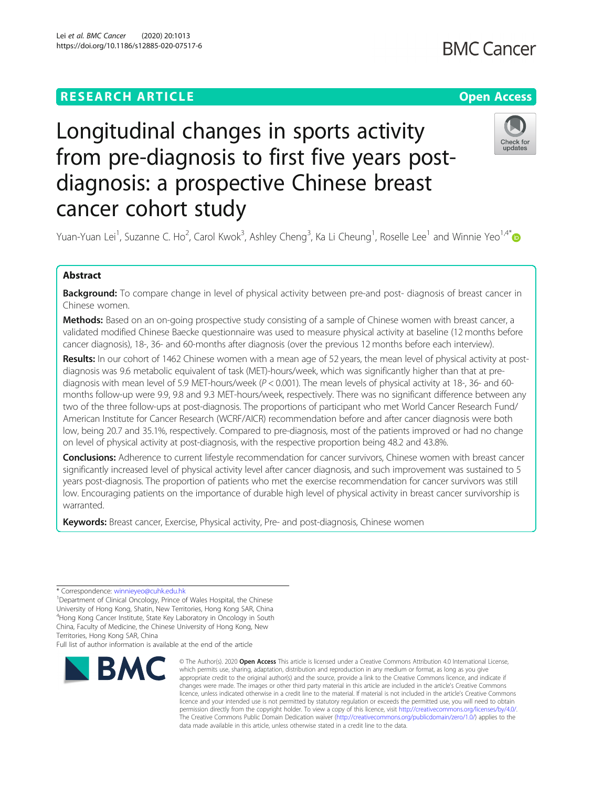# Longitudinal changes in sports activity from pre-diagnosis to first five years postdiagnosis: a prospective Chinese breast cancer cohort study

Yuan-Yuan Lei<sup>1</sup>, Suzanne C. Ho<sup>2</sup>, Carol Kwok<sup>3</sup>, Ashley Cheng<sup>3</sup>, Ka Li Cheung<sup>1</sup>, Roselle Lee<sup>1</sup> and Winnie Yeo<sup>1,4[\\*](http://orcid.org/0000-0002-0863-8469)</sup>

## Abstract

Background: To compare change in level of physical activity between pre-and post- diagnosis of breast cancer in Chinese women.

Methods: Based on an on-going prospective study consisting of a sample of Chinese women with breast cancer, a validated modified Chinese Baecke questionnaire was used to measure physical activity at baseline (12 months before cancer diagnosis), 18-, 36- and 60-months after diagnosis (over the previous 12 months before each interview).

Results: In our cohort of 1462 Chinese women with a mean age of 52 years, the mean level of physical activity at postdiagnosis was 9.6 metabolic equivalent of task (MET)-hours/week, which was significantly higher than that at prediagnosis with mean level of 5.9 MET-hours/week ( $P < 0.001$ ). The mean levels of physical activity at 18-, 36- and 60months follow-up were 9.9, 9.8 and 9.3 MET-hours/week, respectively. There was no significant difference between any two of the three follow-ups at post-diagnosis. The proportions of participant who met World Cancer Research Fund/ American Institute for Cancer Research (WCRF/AICR) recommendation before and after cancer diagnosis were both low, being 20.7 and 35.1%, respectively. Compared to pre-diagnosis, most of the patients improved or had no change on level of physical activity at post-diagnosis, with the respective proportion being 48.2 and 43.8%.

Conclusions: Adherence to current lifestyle recommendation for cancer survivors, Chinese women with breast cancer significantly increased level of physical activity level after cancer diagnosis, and such improvement was sustained to 5 years post-diagnosis. The proportion of patients who met the exercise recommendation for cancer survivors was still low. Encouraging patients on the importance of durable high level of physical activity in breast cancer survivorship is warranted.

Keywords: Breast cancer, Exercise, Physical activity, Pre- and post-diagnosis, Chinese women

<sup>1</sup> Department of Clinical Oncology, Prince of Wales Hospital, the Chinese University of Hong Kong, Shatin, New Territories, Hong Kong SAR, China 4 Hong Kong Cancer Institute, State Key Laboratory in Oncology in South

China, Faculty of Medicine, the Chinese University of Hong Kong, New

Full list of author information is available at the end of the article

## Lei et al. BMC Cancer (2020) 20:1013 https://doi.org/10.1186/s12885-020-07517-6



<sup>©</sup> The Author(s), 2020 **Open Access** This article is licensed under a Creative Commons Attribution 4.0 International License, which permits use, sharing, adaptation, distribution and reproduction in any medium or format, as long as you give appropriate credit to the original author(s) and the source, provide a link to the Creative Commons licence, and indicate if changes were made. The images or other third party material in this article are included in the article's Creative Commons licence, unless indicated otherwise in a credit line to the material. If material is not included in the article's Creative Commons licence and your intended use is not permitted by statutory regulation or exceeds the permitted use, you will need to obtain permission directly from the copyright holder. To view a copy of this licence, visit [http://creativecommons.org/licenses/by/4.0/.](http://creativecommons.org/licenses/by/4.0/) The Creative Commons Public Domain Dedication waiver [\(http://creativecommons.org/publicdomain/zero/1.0/](http://creativecommons.org/publicdomain/zero/1.0/)) applies to the data made available in this article, unless otherwise stated in a credit line to the data.





<sup>\*</sup> Correspondence: [winnieyeo@cuhk.edu.hk](mailto:winnieyeo@cuhk.edu.hk) <sup>1</sup>

Territories, Hong Kong SAR, China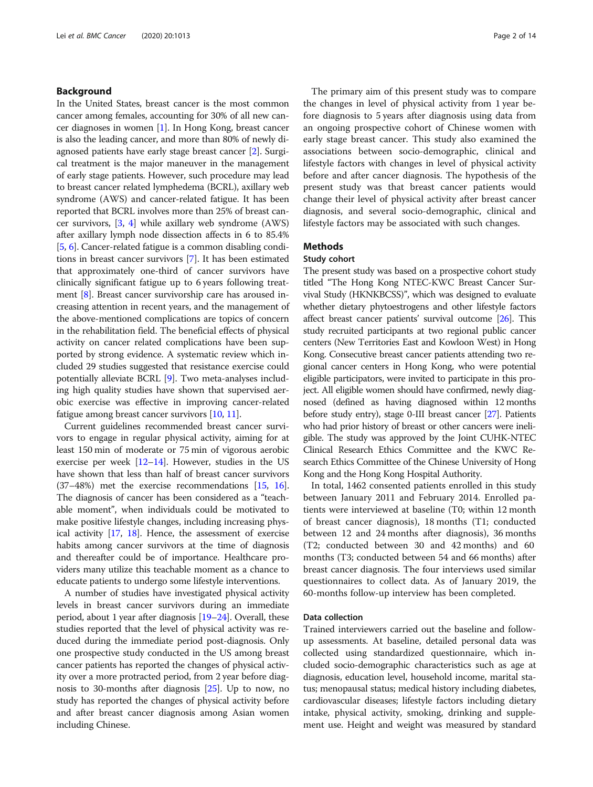## Background

In the United States, breast cancer is the most common cancer among females, accounting for 30% of all new cancer diagnoses in women [\[1](#page-11-0)]. In Hong Kong, breast cancer is also the leading cancer, and more than 80% of newly diagnosed patients have early stage breast cancer [\[2\]](#page-12-0). Surgical treatment is the major maneuver in the management of early stage patients. However, such procedure may lead to breast cancer related lymphedema (BCRL), axillary web syndrome (AWS) and cancer-related fatigue. It has been reported that BCRL involves more than 25% of breast cancer survivors, [\[3](#page-12-0), [4\]](#page-12-0) while axillary web syndrome (AWS) after axillary lymph node dissection affects in 6 to 85.4% [[5,](#page-12-0) [6](#page-12-0)]. Cancer-related fatigue is a common disabling conditions in breast cancer survivors [\[7](#page-12-0)]. It has been estimated that approximately one-third of cancer survivors have clinically significant fatigue up to 6 years following treatment [\[8\]](#page-12-0). Breast cancer survivorship care has aroused increasing attention in recent years, and the management of the above-mentioned complications are topics of concern in the rehabilitation field. The beneficial effects of physical activity on cancer related complications have been supported by strong evidence. A systematic review which included 29 studies suggested that resistance exercise could potentially alleviate BCRL [[9\]](#page-12-0). Two meta-analyses including high quality studies have shown that supervised aerobic exercise was effective in improving cancer-related fatigue among breast cancer survivors [\[10](#page-12-0), [11](#page-12-0)].

Current guidelines recommended breast cancer survivors to engage in regular physical activity, aiming for at least 150 min of moderate or 75 min of vigorous aerobic exercise per week  $[12-14]$  $[12-14]$  $[12-14]$  $[12-14]$ . However, studies in the US have shown that less than half of breast cancer survivors (37–48%) met the exercise recommendations [\[15,](#page-12-0) [16](#page-12-0)]. The diagnosis of cancer has been considered as a "teachable moment", when individuals could be motivated to make positive lifestyle changes, including increasing physical activity [\[17,](#page-12-0) [18](#page-12-0)]. Hence, the assessment of exercise habits among cancer survivors at the time of diagnosis and thereafter could be of importance. Healthcare providers many utilize this teachable moment as a chance to educate patients to undergo some lifestyle interventions.

A number of studies have investigated physical activity levels in breast cancer survivors during an immediate period, about 1 year after diagnosis [[19](#page-12-0)–[24\]](#page-12-0). Overall, these studies reported that the level of physical activity was reduced during the immediate period post-diagnosis. Only one prospective study conducted in the US among breast cancer patients has reported the changes of physical activity over a more protracted period, from 2 year before diagnosis to 30-months after diagnosis [\[25\]](#page-12-0). Up to now, no study has reported the changes of physical activity before and after breast cancer diagnosis among Asian women including Chinese.

The primary aim of this present study was to compare the changes in level of physical activity from 1 year before diagnosis to 5 years after diagnosis using data from an ongoing prospective cohort of Chinese women with early stage breast cancer. This study also examined the associations between socio-demographic, clinical and lifestyle factors with changes in level of physical activity before and after cancer diagnosis. The hypothesis of the present study was that breast cancer patients would change their level of physical activity after breast cancer diagnosis, and several socio-demographic, clinical and lifestyle factors may be associated with such changes.

## Methods

#### Study cohort

The present study was based on a prospective cohort study titled "The Hong Kong NTEC-KWC Breast Cancer Survival Study (HKNKBCSS)", which was designed to evaluate whether dietary phytoestrogens and other lifestyle factors affect breast cancer patients' survival outcome [\[26](#page-12-0)]. This study recruited participants at two regional public cancer centers (New Territories East and Kowloon West) in Hong Kong. Consecutive breast cancer patients attending two regional cancer centers in Hong Kong, who were potential eligible participators, were invited to participate in this project. All eligible women should have confirmed, newly diagnosed (defined as having diagnosed within 12 months before study entry), stage 0-III breast cancer [\[27\]](#page-12-0). Patients who had prior history of breast or other cancers were ineligible. The study was approved by the Joint CUHK-NTEC Clinical Research Ethics Committee and the KWC Research Ethics Committee of the Chinese University of Hong Kong and the Hong Kong Hospital Authority.

In total, 1462 consented patients enrolled in this study between January 2011 and February 2014. Enrolled patients were interviewed at baseline (T0; within 12 month of breast cancer diagnosis), 18 months (T1; conducted between 12 and 24 months after diagnosis), 36 months (T2; conducted between 30 and 42 months) and 60 months (T3; conducted between 54 and 66 months) after breast cancer diagnosis. The four interviews used similar questionnaires to collect data. As of January 2019, the 60-months follow-up interview has been completed.

## Data collection

Trained interviewers carried out the baseline and followup assessments. At baseline, detailed personal data was collected using standardized questionnaire, which included socio-demographic characteristics such as age at diagnosis, education level, household income, marital status; menopausal status; medical history including diabetes, cardiovascular diseases; lifestyle factors including dietary intake, physical activity, smoking, drinking and supplement use. Height and weight was measured by standard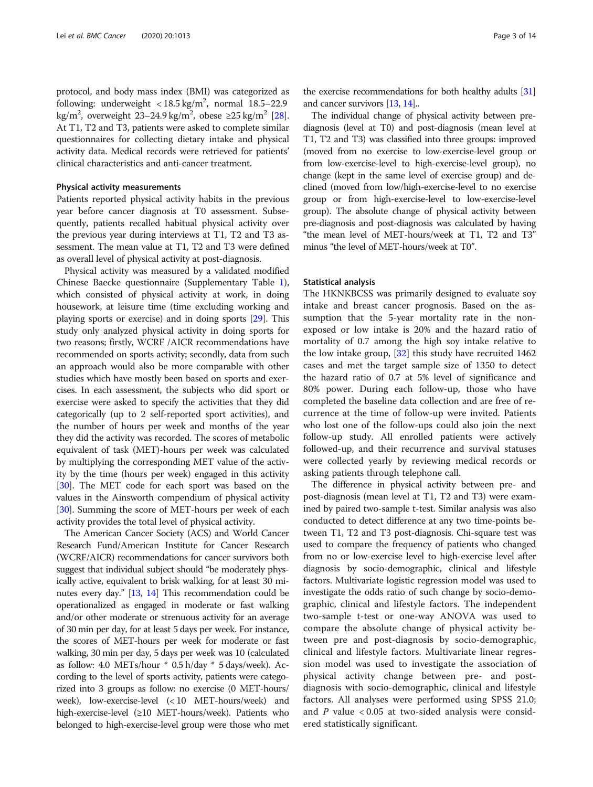protocol, and body mass index (BMI) was categorized as following: underweight  $<$  18.5 kg/m<sup>2</sup>, normal 18.5–22.9 kg/m<sup>2</sup>, overweight 23–24.9 kg/m<sup>2</sup>, obese ≥25 kg/m<sup>2</sup> [[28](#page-12-0)]. At T1, T2 and T3, patients were asked to complete similar questionnaires for collecting dietary intake and physical activity data. Medical records were retrieved for patients' clinical characteristics and anti-cancer treatment.

### Physical activity measurements

Patients reported physical activity habits in the previous year before cancer diagnosis at T0 assessment. Subsequently, patients recalled habitual physical activity over the previous year during interviews at T1, T2 and T3 assessment. The mean value at T1, T2 and T3 were defined as overall level of physical activity at post-diagnosis.

Physical activity was measured by a validated modified Chinese Baecke questionnaire (Supplementary Table [1](#page-11-0)), which consisted of physical activity at work, in doing housework, at leisure time (time excluding working and playing sports or exercise) and in doing sports [\[29\]](#page-12-0). This study only analyzed physical activity in doing sports for two reasons; firstly, WCRF /AICR recommendations have recommended on sports activity; secondly, data from such an approach would also be more comparable with other studies which have mostly been based on sports and exercises. In each assessment, the subjects who did sport or exercise were asked to specify the activities that they did categorically (up to 2 self-reported sport activities), and the number of hours per week and months of the year they did the activity was recorded. The scores of metabolic equivalent of task (MET)-hours per week was calculated by multiplying the corresponding MET value of the activity by the time (hours per week) engaged in this activity [[30](#page-12-0)]. The MET code for each sport was based on the values in the Ainsworth compendium of physical activity [[30](#page-12-0)]. Summing the score of MET-hours per week of each activity provides the total level of physical activity.

The American Cancer Society (ACS) and World Cancer Research Fund/American Institute for Cancer Research (WCRF/AICR) recommendations for cancer survivors both suggest that individual subject should "be moderately physically active, equivalent to brisk walking, for at least 30 minutes every day." [[13](#page-12-0), [14\]](#page-12-0) This recommendation could be operationalized as engaged in moderate or fast walking and/or other moderate or strenuous activity for an average of 30 min per day, for at least 5 days per week. For instance, the scores of MET-hours per week for moderate or fast walking, 30 min per day, 5 days per week was 10 (calculated as follow: 4.0 METs/hour \* 0.5 h/day \* 5 days/week). According to the level of sports activity, patients were categorized into 3 groups as follow: no exercise (0 MET-hours/ week), low-exercise-level (< 10 MET-hours/week) and high-exercise-level (≥10 MET-hours/week). Patients who belonged to high-exercise-level group were those who met

the exercise recommendations for both healthy adults [\[31](#page-12-0)] and cancer survivors [\[13](#page-12-0), [14](#page-12-0)]..

The individual change of physical activity between prediagnosis (level at T0) and post-diagnosis (mean level at T1, T2 and T3) was classified into three groups: improved (moved from no exercise to low-exercise-level group or from low-exercise-level to high-exercise-level group), no change (kept in the same level of exercise group) and declined (moved from low/high-exercise-level to no exercise group or from high-exercise-level to low-exercise-level group). The absolute change of physical activity between pre-diagnosis and post-diagnosis was calculated by having "the mean level of MET-hours/week at T1, T2 and T3" minus "the level of MET-hours/week at T0".

### Statistical analysis

The HKNKBCSS was primarily designed to evaluate soy intake and breast cancer prognosis. Based on the assumption that the 5-year mortality rate in the nonexposed or low intake is 20% and the hazard ratio of mortality of 0.7 among the high soy intake relative to the low intake group, [[32](#page-12-0)] this study have recruited 1462 cases and met the target sample size of 1350 to detect the hazard ratio of 0.7 at 5% level of significance and 80% power. During each follow-up, those who have completed the baseline data collection and are free of recurrence at the time of follow-up were invited. Patients who lost one of the follow-ups could also join the next follow-up study. All enrolled patients were actively followed-up, and their recurrence and survival statuses were collected yearly by reviewing medical records or asking patients through telephone call.

The difference in physical activity between pre- and post-diagnosis (mean level at T1, T2 and T3) were examined by paired two-sample t-test. Similar analysis was also conducted to detect difference at any two time-points between T1, T2 and T3 post-diagnosis. Chi-square test was used to compare the frequency of patients who changed from no or low-exercise level to high-exercise level after diagnosis by socio-demographic, clinical and lifestyle factors. Multivariate logistic regression model was used to investigate the odds ratio of such change by socio-demographic, clinical and lifestyle factors. The independent two-sample t-test or one-way ANOVA was used to compare the absolute change of physical activity between pre and post-diagnosis by socio-demographic, clinical and lifestyle factors. Multivariate linear regression model was used to investigate the association of physical activity change between pre- and postdiagnosis with socio-demographic, clinical and lifestyle factors. All analyses were performed using SPSS 21.0; and  $P$  value < 0.05 at two-sided analysis were considered statistically significant.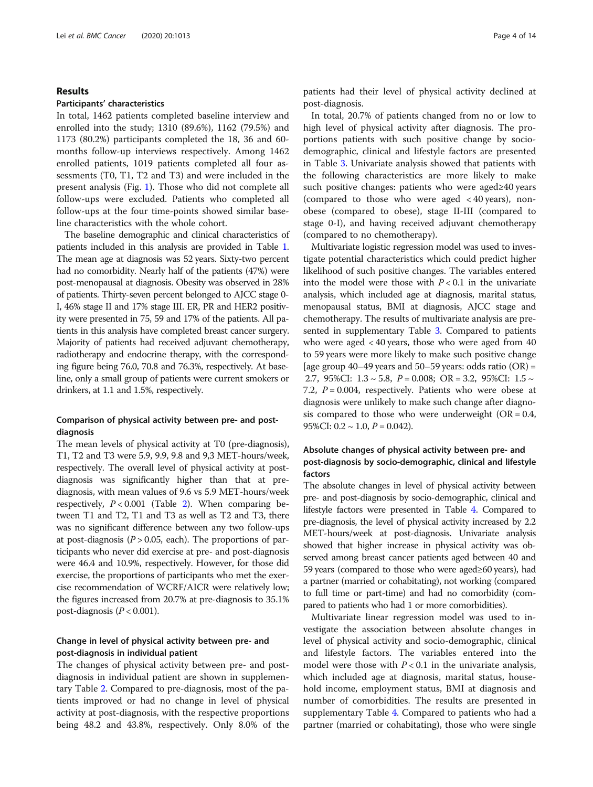## Results

## Participants' characteristics

In total, 1462 patients completed baseline interview and enrolled into the study; 1310 (89.6%), 1162 (79.5%) and 1173 (80.2%) participants completed the 18, 36 and 60 months follow-up interviews respectively. Among 1462 enrolled patients, 1019 patients completed all four assessments (T0, T1, T2 and T3) and were included in the present analysis (Fig. [1](#page-4-0)). Those who did not complete all follow-ups were excluded. Patients who completed all follow-ups at the four time-points showed similar baseline characteristics with the whole cohort.

The baseline demographic and clinical characteristics of patients included in this analysis are provided in Table [1](#page-5-0). The mean age at diagnosis was 52 years. Sixty-two percent had no comorbidity. Nearly half of the patients (47%) were post-menopausal at diagnosis. Obesity was observed in 28% of patients. Thirty-seven percent belonged to AJCC stage 0- I, 46% stage II and 17% stage III. ER, PR and HER2 positivity were presented in 75, 59 and 17% of the patients. All patients in this analysis have completed breast cancer surgery. Majority of patients had received adjuvant chemotherapy, radiotherapy and endocrine therapy, with the corresponding figure being 76.0, 70.8 and 76.3%, respectively. At baseline, only a small group of patients were current smokers or drinkers, at 1.1 and 1.5%, respectively.

## Comparison of physical activity between pre- and postdiagnosis

The mean levels of physical activity at T0 (pre-diagnosis), T1, T2 and T3 were 5.9, 9.9, 9.8 and 9,3 MET-hours/week, respectively. The overall level of physical activity at postdiagnosis was significantly higher than that at prediagnosis, with mean values of 9.6 vs 5.9 MET-hours/week respectively,  $P < 0.001$  (Table [2](#page-6-0)). When comparing between T1 and T2, T1 and T3 as well as T2 and T3, there was no significant difference between any two follow-ups at post-diagnosis ( $P > 0.05$ , each). The proportions of participants who never did exercise at pre- and post-diagnosis were 46.4 and 10.9%, respectively. However, for those did exercise, the proportions of participants who met the exercise recommendation of WCRF/AICR were relatively low; the figures increased from 20.7% at pre-diagnosis to 35.1% post-diagnosis ( $P < 0.001$ ).

## Change in level of physical activity between pre- and post-diagnosis in individual patient

The changes of physical activity between pre- and postdiagnosis in individual patient are shown in supplementary Table [2](#page-11-0). Compared to pre-diagnosis, most of the patients improved or had no change in level of physical activity at post-diagnosis, with the respective proportions being 48.2 and 43.8%, respectively. Only 8.0% of the patients had their level of physical activity declined at post-diagnosis.

In total, 20.7% of patients changed from no or low to high level of physical activity after diagnosis. The proportions patients with such positive change by sociodemographic, clinical and lifestyle factors are presented in Table [3](#page-7-0). Univariate analysis showed that patients with the following characteristics are more likely to make such positive changes: patients who were aged≥40 years (compared to those who were aged  $<$  40 years), nonobese (compared to obese), stage II-III (compared to stage 0-I), and having received adjuvant chemotherapy (compared to no chemotherapy).

Multivariate logistic regression model was used to investigate potential characteristics which could predict higher likelihood of such positive changes. The variables entered into the model were those with  $P < 0.1$  in the univariate analysis, which included age at diagnosis, marital status, menopausal status, BMI at diagnosis, AJCC stage and chemotherapy. The results of multivariate analysis are presented in supplementary Table [3.](#page-11-0) Compared to patients who were aged < 40 years, those who were aged from 40 to 59 years were more likely to make such positive change [age group 40–49 years and 50–59 years: odds ratio  $(OR)$  = 2.7, 95%CI:  $1.3 \sim 5.8$ ,  $P = 0.008$ ; OR = 3.2, 95%CI:  $1.5 \sim$ 7.2,  $P = 0.004$ , respectively. Patients who were obese at diagnosis were unlikely to make such change after diagnosis compared to those who were underweight  $(OR = 0.4, ...)$ 95%CI:  $0.2 \sim 1.0$ ,  $P = 0.042$ ).

## Absolute changes of physical activity between pre- and post-diagnosis by socio-demographic, clinical and lifestyle factors

The absolute changes in level of physical activity between pre- and post-diagnosis by socio-demographic, clinical and lifestyle factors were presented in Table [4](#page-9-0). Compared to pre-diagnosis, the level of physical activity increased by 2.2 MET-hours/week at post-diagnosis. Univariate analysis showed that higher increase in physical activity was observed among breast cancer patients aged between 40 and 59 years (compared to those who were aged≥60 years), had a partner (married or cohabitating), not working (compared to full time or part-time) and had no comorbidity (compared to patients who had 1 or more comorbidities).

Multivariate linear regression model was used to investigate the association between absolute changes in level of physical activity and socio-demographic, clinical and lifestyle factors. The variables entered into the model were those with  $P < 0.1$  in the univariate analysis, which included age at diagnosis, marital status, household income, employment status, BMI at diagnosis and number of comorbidities. The results are presented in supplementary Table [4.](#page-11-0) Compared to patients who had a partner (married or cohabitating), those who were single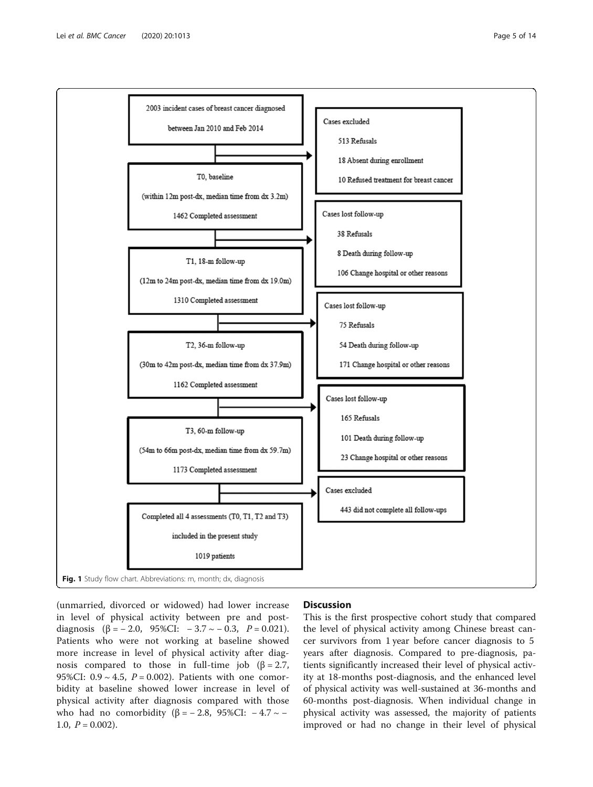<span id="page-4-0"></span>

(unmarried, divorced or widowed) had lower increase in level of physical activity between pre and postdiagnosis  $(\beta = -2.0, 95\%CI: -3.7 \sim -0.3, P = 0.021).$ Patients who were not working at baseline showed more increase in level of physical activity after diagnosis compared to those in full-time job  $(\beta = 2.7)$ , 95%CI:  $0.9 \sim 4.5$ ,  $P = 0.002$ ). Patients with one comorbidity at baseline showed lower increase in level of physical activity after diagnosis compared with those who had no comorbidity ( $β = -2.8$ , 95%CI:  $-4.7 \sim -$ 1.0,  $P = 0.002$ ).

## **Discussion**

This is the first prospective cohort study that compared the level of physical activity among Chinese breast cancer survivors from 1 year before cancer diagnosis to 5 years after diagnosis. Compared to pre-diagnosis, patients significantly increased their level of physical activity at 18-months post-diagnosis, and the enhanced level of physical activity was well-sustained at 36-months and 60-months post-diagnosis. When individual change in physical activity was assessed, the majority of patients improved or had no change in their level of physical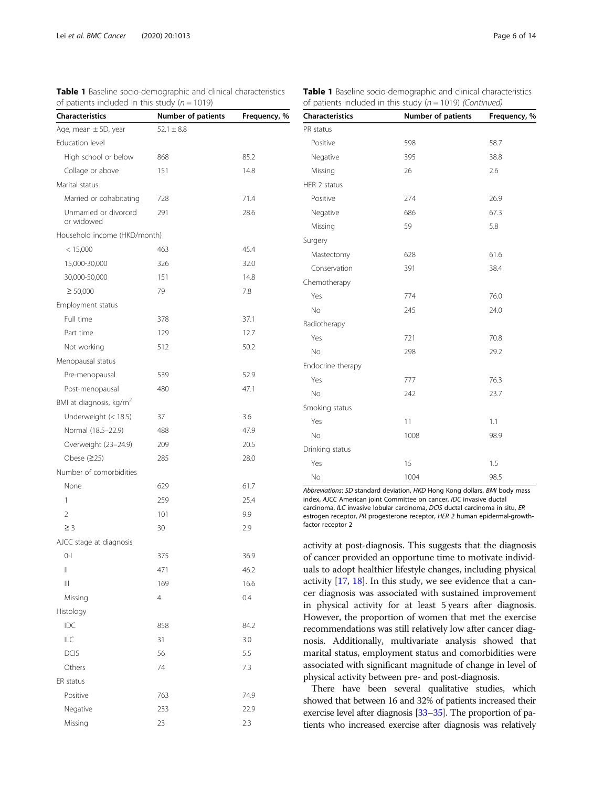| <b>Characteristics</b>                | Number of patients | Frequency, % |
|---------------------------------------|--------------------|--------------|
| Age, mean $\pm$ SD, year              | $52.1 \pm 8.8$     |              |
| Education level                       |                    |              |
| High school or below                  | 868                | 85.2         |
| Collage or above                      | 151                | 14.8         |
| Marital status                        |                    |              |
| Married or cohabitating               | 728                | 71.4         |
| Unmarried or divorced<br>or widowed   | 291                | 28.6         |
| Household income (HKD/month)          |                    |              |
| < 15,000                              | 463                | 45.4         |
| 15,000-30,000                         | 326                | 32.0         |
| 30,000-50,000                         | 151                | 14.8         |
| $\geq 50,000$                         | 79                 | 7.8          |
| Employment status                     |                    |              |
| Full time                             | 378                | 37.1         |
| Part time                             | 129                | 12.7         |
| Not working                           | 512                | 50.2         |
| Menopausal status                     |                    |              |
| Pre-menopausal                        | 539                | 52.9         |
| Post-menopausal                       | 480                | 47.1         |
| BMI at diagnosis, kg/m <sup>2</sup>   |                    |              |
| Underweight (< 18.5)                  | 37                 | 3.6          |
| Normal (18.5-22.9)                    | 488                | 47.9         |
| Overweight (23-24.9)                  | 209                | 20.5         |
| Obese $(225)$                         | 285                | 28.0         |
| Number of comorbidities               |                    |              |
| None                                  | 629                | 61.7         |
| 1                                     | 259                | 25.4         |
| 2                                     | 101                | 9.9          |
| $\geq$ 3                              | 30                 | 2.9          |
| AJCC stage at diagnosis               |                    |              |
| O-I                                   | 375                | 36.9         |
| 11                                    | 471                | 46.2         |
| $\begin{array}{c} \hline \end{array}$ | 169                | 16.6         |
| Missing                               | 4                  | 0.4          |
| Histology                             |                    |              |
| IDC                                   | 858                | 84.2         |
| ILC                                   | 31                 | 3.0          |
| <b>DCIS</b>                           | 56                 | 5.5          |
| Others                                | 74                 | 7.3          |
| ER status                             |                    |              |
| Positive                              | 763                | 74.9         |
| Negative                              | 233                | 22.9         |
| Missing                               | 23                 | 2.3          |

<span id="page-5-0"></span>

|  |                                                   |  | Table 1 Baseline socio-demographic and clinical characteristics |  |
|--|---------------------------------------------------|--|-----------------------------------------------------------------|--|
|  | of patients included in this study ( $n = 1019$ ) |  |                                                                 |  |

| <b>Table 1</b> Baseline socio-demographic and clinical characteristics |  |
|------------------------------------------------------------------------|--|
| of patients included in this study ( $n = 1019$ ) (Continued)          |  |

| <b>Characteristics</b> | Number of patients | Frequency, % |
|------------------------|--------------------|--------------|
| PR status              |                    |              |
| Positive               | 598                | 58.7         |
| Negative               | 395                | 38.8         |
| Missing                | 26                 | 2.6          |
| HER 2 status           |                    |              |
| Positive               | 274                | 26.9         |
| Negative               | 686                | 67.3         |
| Missing                | 59                 | 5.8          |
| Surgery                |                    |              |
| Mastectomy             | 628                | 61.6         |
| Conservation           | 391                | 38.4         |
| Chemotherapy           |                    |              |
| Yes                    | 774                | 76.0         |
| No                     | 245                | 24.0         |
| Radiotherapy           |                    |              |
| Yes                    | 721                | 70.8         |
| <b>No</b>              | 298                | 29.2         |
| Endocrine therapy      |                    |              |
| Yes                    | 777                | 76.3         |
| No                     | 242                | 23.7         |
| Smoking status         |                    |              |
| Yes                    | 11                 | 1.1          |
| <b>No</b>              | 1008               | 98.9         |
| Drinking status        |                    |              |
| Yes                    | 15                 | 1.5          |
| No                     | 1004               | 98.5         |

Abbreviations: SD standard deviation, HKD Hong Kong dollars, BMI body mass index, AJCC American joint Committee on cancer, IDC invasive ductal carcinoma, ILC invasive lobular carcinoma, DCIS ductal carcinoma in situ, ER estrogen receptor, PR progesterone receptor, HER 2 human epidermal-growthfactor receptor 2

activity at post-diagnosis. This suggests that the diagnosis of cancer provided an opportune time to motivate individuals to adopt healthier lifestyle changes, including physical activity [\[17,](#page-12-0) [18\]](#page-12-0). In this study, we see evidence that a cancer diagnosis was associated with sustained improvement in physical activity for at least 5 years after diagnosis. However, the proportion of women that met the exercise recommendations was still relatively low after cancer diagnosis. Additionally, multivariate analysis showed that marital status, employment status and comorbidities were associated with significant magnitude of change in level of physical activity between pre- and post-diagnosis.

There have been several qualitative studies, which showed that between 16 and 32% of patients increased their exercise level after diagnosis [\[33](#page-12-0)–[35\]](#page-12-0). The proportion of patients who increased exercise after diagnosis was relatively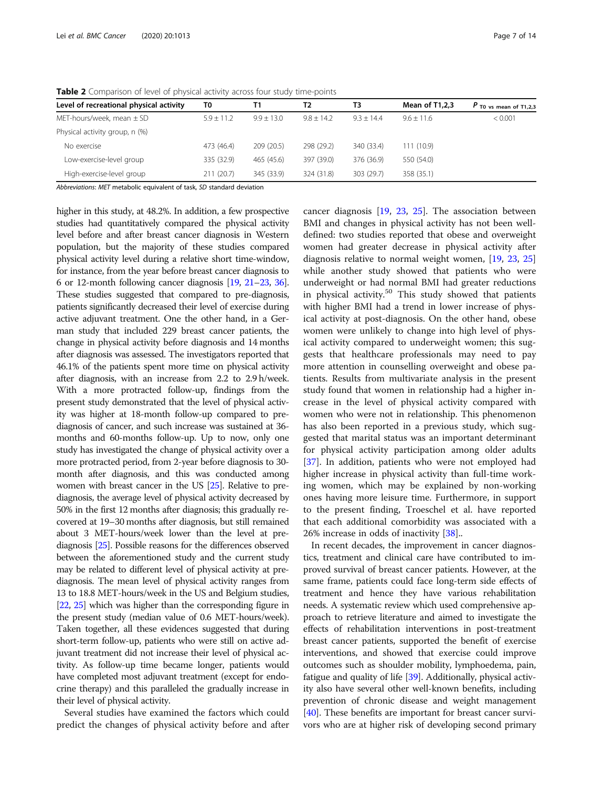| Т2<br>ТЗ<br>$9.8 + 14.2$<br>$9.3 + 14.4$ | Mean of T1,2,3<br>$9.6 + 11.6$ | $P$ T <sub>0</sub> vs mean of T <sub>1</sub> ,2,3 |
|------------------------------------------|--------------------------------|---------------------------------------------------|
|                                          |                                |                                                   |
|                                          |                                | < 0.001                                           |
|                                          |                                |                                                   |
| 298 (29.2)<br>340 (33.4)                 | 111(10.9)                      |                                                   |
| 397 (39.0)<br>376 (36.9)                 | 550 (54.0)                     |                                                   |
| 324 (31.8)<br>303 (29.7)                 | 358 (35.1)                     |                                                   |
|                                          |                                |                                                   |

<span id="page-6-0"></span>Table 2 Comparison of level of physical activity across four study time-points

Abbreviations: MET metabolic equivalent of task, SD standard deviation

higher in this study, at 48.2%. In addition, a few prospective studies had quantitatively compared the physical activity level before and after breast cancer diagnosis in Western population, but the majority of these studies compared physical activity level during a relative short time-window, for instance, from the year before breast cancer diagnosis to 6 or 12-month following cancer diagnosis [[19](#page-12-0), [21](#page-12-0)–[23](#page-12-0), [36](#page-12-0)]. These studies suggested that compared to pre-diagnosis, patients significantly decreased their level of exercise during active adjuvant treatment. One the other hand, in a German study that included 229 breast cancer patients, the change in physical activity before diagnosis and 14 months after diagnosis was assessed. The investigators reported that 46.1% of the patients spent more time on physical activity after diagnosis, with an increase from 2.2 to 2.9 h/week. With a more protracted follow-up, findings from the present study demonstrated that the level of physical activity was higher at 18-month follow-up compared to prediagnosis of cancer, and such increase was sustained at 36 months and 60-months follow-up. Up to now, only one study has investigated the change of physical activity over a more protracted period, from 2-year before diagnosis to 30 month after diagnosis, and this was conducted among women with breast cancer in the US [\[25](#page-12-0)]. Relative to prediagnosis, the average level of physical activity decreased by 50% in the first 12 months after diagnosis; this gradually recovered at 19–30 months after diagnosis, but still remained about 3 MET-hours/week lower than the level at prediagnosis [\[25\]](#page-12-0). Possible reasons for the differences observed between the aforementioned study and the current study may be related to different level of physical activity at prediagnosis. The mean level of physical activity ranges from 13 to 18.8 MET-hours/week in the US and Belgium studies, [[22](#page-12-0), [25\]](#page-12-0) which was higher than the corresponding figure in the present study (median value of 0.6 MET-hours/week). Taken together, all these evidences suggested that during short-term follow-up, patients who were still on active adjuvant treatment did not increase their level of physical activity. As follow-up time became longer, patients would have completed most adjuvant treatment (except for endocrine therapy) and this paralleled the gradually increase in their level of physical activity.

Several studies have examined the factors which could predict the changes of physical activity before and after

cancer diagnosis [\[19](#page-12-0), [23,](#page-12-0) [25\]](#page-12-0). The association between BMI and changes in physical activity has not been welldefined: two studies reported that obese and overweight women had greater decrease in physical activity after diagnosis relative to normal weight women, [\[19,](#page-12-0) [23,](#page-12-0) [25](#page-12-0)] while another study showed that patients who were underweight or had normal BMI had greater reductions in physical activity.<sup>50</sup> This study showed that patients with higher BMI had a trend in lower increase of physical activity at post-diagnosis. On the other hand, obese women were unlikely to change into high level of physical activity compared to underweight women; this suggests that healthcare professionals may need to pay more attention in counselling overweight and obese patients. Results from multivariate analysis in the present study found that women in relationship had a higher increase in the level of physical activity compared with women who were not in relationship. This phenomenon has also been reported in a previous study, which suggested that marital status was an important determinant for physical activity participation among older adults [[37\]](#page-12-0). In addition, patients who were not employed had higher increase in physical activity than full-time working women, which may be explained by non-working ones having more leisure time. Furthermore, in support to the present finding, Troeschel et al. have reported that each additional comorbidity was associated with a 26% increase in odds of inactivity [[38](#page-12-0)]..

In recent decades, the improvement in cancer diagnostics, treatment and clinical care have contributed to improved survival of breast cancer patients. However, at the same frame, patients could face long-term side effects of treatment and hence they have various rehabilitation needs. A systematic review which used comprehensive approach to retrieve literature and aimed to investigate the effects of rehabilitation interventions in post-treatment breast cancer patients, supported the benefit of exercise interventions, and showed that exercise could improve outcomes such as shoulder mobility, lymphoedema, pain, fatigue and quality of life [\[39\]](#page-12-0). Additionally, physical activity also have several other well-known benefits, including prevention of chronic disease and weight management [[40](#page-12-0)]. These benefits are important for breast cancer survivors who are at higher risk of developing second primary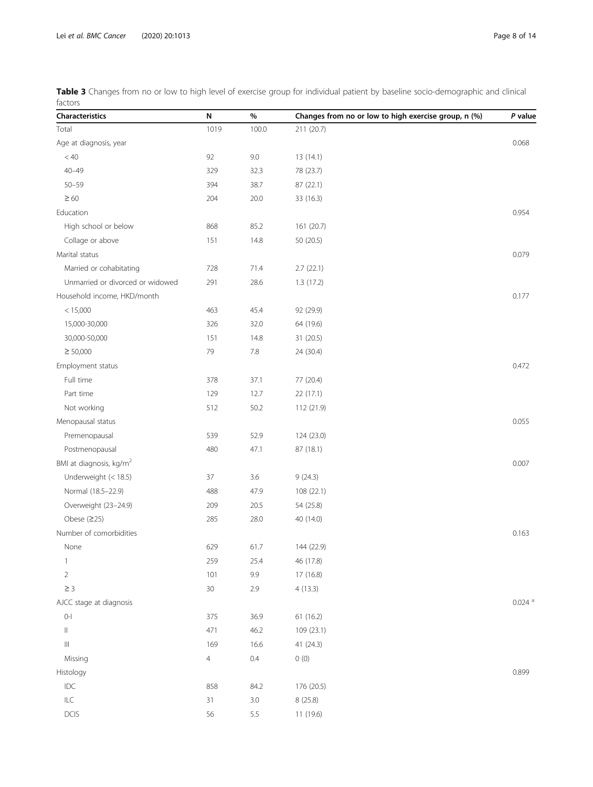<span id="page-7-0"></span>

|         |  |  | Table 3 Changes from no or low to high level of exercise group for individual patient by baseline socio-demographic and clinical |  |
|---------|--|--|----------------------------------------------------------------------------------------------------------------------------------|--|
| factors |  |  |                                                                                                                                  |  |

| Characteristics                     | N              | $\%$    | Changes from no or low to high exercise group, n (%) | P value              |
|-------------------------------------|----------------|---------|------------------------------------------------------|----------------------|
| Total                               | 1019           | 100.0   | 211 (20.7)                                           |                      |
| Age at diagnosis, year              |                |         |                                                      | 0.068                |
| < 40                                | 92             | 9.0     | 13 (14.1)                                            |                      |
| $40 - 49$                           | 329            | 32.3    | 78 (23.7)                                            |                      |
| $50 - 59$                           | 394            | 38.7    | 87 (22.1)                                            |                      |
| $\geq 60$                           | 204            | 20.0    | 33 (16.3)                                            |                      |
| Education                           |                |         |                                                      | 0.954                |
| High school or below                | 868            | 85.2    | 161 (20.7)                                           |                      |
| Collage or above                    | 151            | 14.8    | 50 (20.5)                                            |                      |
| Marital status                      |                |         |                                                      | 0.079                |
| Married or cohabitating             | 728            | 71.4    | 2.7(22.1)                                            |                      |
| Unmarried or divorced or widowed    | 291            | 28.6    | 1.3(17.2)                                            |                      |
| Household income, HKD/month         |                |         |                                                      | 0.177                |
| < 15,000                            | 463            | 45.4    | 92 (29.9)                                            |                      |
| 15,000-30,000                       | 326            | 32.0    | 64 (19.6)                                            |                      |
| 30,000-50,000                       | 151            | 14.8    | 31 (20.5)                                            |                      |
| $\geq 50,000$                       | 79             | 7.8     | 24 (30.4)                                            |                      |
| Employment status                   |                |         |                                                      | 0.472                |
| Full time                           | 378            | 37.1    | 77 (20.4)                                            |                      |
| Part time                           | 129            | 12.7    | 22(17.1)                                             |                      |
| Not working                         | 512            | 50.2    | 112 (21.9)                                           |                      |
| Menopausal status                   |                |         |                                                      | 0.055                |
| Premenopausal                       | 539            | 52.9    | 124 (23.0)                                           |                      |
| Postmenopausal                      | 480            | 47.1    | 87 (18.1)                                            |                      |
| BMI at diagnosis, kg/m <sup>2</sup> |                |         |                                                      | 0.007                |
| Underweight (< 18.5)                | 37             | 3.6     | 9(24.3)                                              |                      |
| Normal (18.5-22.9)                  | 488            | 47.9    | 108 (22.1)                                           |                      |
| Overweight (23-24.9)                | 209            | 20.5    | 54 (25.8)                                            |                      |
| Obese $(225)$                       | 285            | 28.0    | 40 (14.0)                                            |                      |
| Number of comorbidities             |                |         |                                                      | 0.163                |
| None                                | 629            | 61.7    | 144 (22.9)                                           |                      |
| $\mathbf{1}$                        | 259            | 25.4    | 46 (17.8)                                            |                      |
| $\overline{2}$                      | 101            | 9.9     | 17 (16.8)                                            |                      |
| $\geq 3$                            | $30\,$         | 2.9     | 4(13.3)                                              |                      |
| AJCC stage at diagnosis             |                |         |                                                      | $0.024$ <sup>a</sup> |
| $0 - 1$                             | 375            | 36.9    | 61 (16.2)                                            |                      |
| $\vert\vert$                        | 471            | 46.2    | 109 (23.1)                                           |                      |
| $\  \ $                             | 169            | 16.6    | 41 (24.3)                                            |                      |
| Missing                             | $\overline{4}$ | $0.4\,$ | $0\ (0)$                                             |                      |
| Histology                           |                |         |                                                      | 0.899                |
| $IDC$                               | 858            | 84.2    | 176 (20.5)                                           |                      |
| $\mathsf{ILC}$                      | 31             | 3.0     | 8 (25.8)                                             |                      |
| <b>DCIS</b>                         | 56             | 5.5     | 11 (19.6)                                            |                      |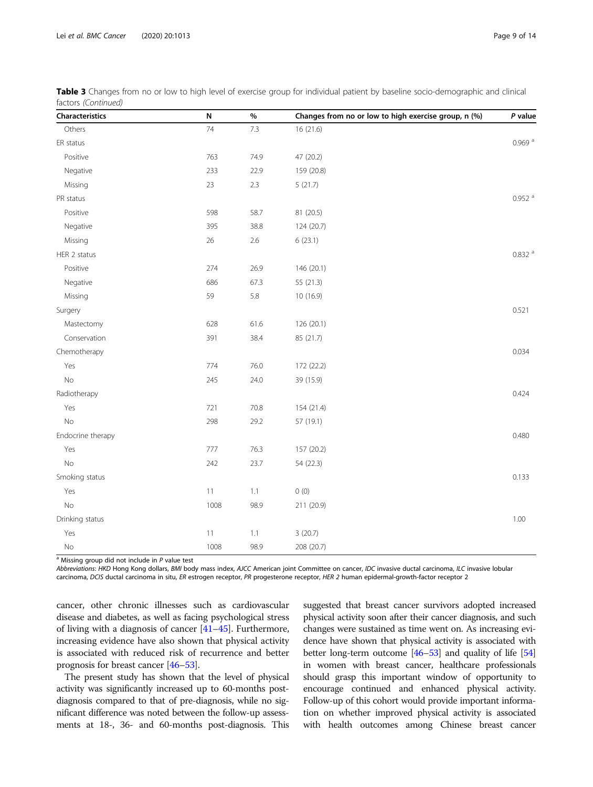| <b>Characteristics</b> | N    | $\%$ | Changes from no or low to high exercise group, n (%) | P value              |
|------------------------|------|------|------------------------------------------------------|----------------------|
| Others                 | 74   | 7.3  | 16(21.6)                                             |                      |
| ER status              |      |      |                                                      | $0.969$ <sup>a</sup> |
| Positive               | 763  | 74.9 | 47 (20.2)                                            |                      |
| Negative               | 233  | 22.9 | 159 (20.8)                                           |                      |
| Missing                | 23   | 2.3  | 5(21.7)                                              |                      |
| PR status              |      |      |                                                      | $0.952$ $^{\rm a}$   |
| Positive               | 598  | 58.7 | 81 (20.5)                                            |                      |
| Negative               | 395  | 38.8 | 124 (20.7)                                           |                      |
| Missing                | 26   | 2.6  | 6(23.1)                                              |                      |
| HER 2 status           |      |      |                                                      | $0.832$ <sup>a</sup> |
| Positive               | 274  | 26.9 | 146 (20.1)                                           |                      |
| Negative               | 686  | 67.3 | 55 (21.3)                                            |                      |
| Missing                | 59   | 5.8  | 10 (16.9)                                            |                      |
| Surgery                |      |      |                                                      | 0.521                |
| Mastectomy             | 628  | 61.6 | 126 (20.1)                                           |                      |
| Conservation           | 391  | 38.4 | 85 (21.7)                                            |                      |
| Chemotherapy           |      |      |                                                      | 0.034                |
| Yes                    | 774  | 76.0 | 172 (22.2)                                           |                      |
| No                     | 245  | 24.0 | 39 (15.9)                                            |                      |
| Radiotherapy           |      |      |                                                      | 0.424                |
| Yes                    | 721  | 70.8 | 154 (21.4)                                           |                      |
| $\rm No$               | 298  | 29.2 | 57 (19.1)                                            |                      |
| Endocrine therapy      |      |      |                                                      | 0.480                |
| Yes                    | 777  | 76.3 | 157 (20.2)                                           |                      |
| No                     | 242  | 23.7 | 54 (22.3)                                            |                      |
| Smoking status         |      |      |                                                      | 0.133                |
| Yes                    | 11   | 1.1  | 0(0)                                                 |                      |
| No                     | 1008 | 98.9 | 211 (20.9)                                           |                      |
| Drinking status        |      |      |                                                      | 1.00                 |

Table 3 Changes from no or low to high level of exercise group for individual patient by baseline socio-demographic and clinical factors (Continued)

 $\sqrt{\frac{a}{a}}$  Missing group did not include in P value test

Abbreviations: HKD Hong Kong dollars, BMI body mass index, AJCC American joint Committee on cancer, IDC invasive ductal carcinoma, ILC invasive lobular carcinoma, DCIS ductal carcinoma in situ, ER estrogen receptor, PR progesterone receptor, HER 2 human epidermal-growth-factor receptor 2

cancer, other chronic illnesses such as cardiovascular disease and diabetes, as well as facing psychological stress of living with a diagnosis of cancer [\[41](#page-12-0)–[45](#page-13-0)]. Furthermore, increasing evidence have also shown that physical activity is associated with reduced risk of recurrence and better prognosis for breast cancer [\[46](#page-13-0)–[53\]](#page-13-0).

Yes 20.7) 3 (20.7) No 1008 98.9 208 (20.7)

The present study has shown that the level of physical activity was significantly increased up to 60-months postdiagnosis compared to that of pre-diagnosis, while no significant difference was noted between the follow-up assessments at 18-, 36- and 60-months post-diagnosis. This suggested that breast cancer survivors adopted increased physical activity soon after their cancer diagnosis, and such changes were sustained as time went on. As increasing evidence have shown that physical activity is associated with better long-term outcome [\[46](#page-13-0)–[53](#page-13-0)] and quality of life [\[54](#page-13-0)] in women with breast cancer, healthcare professionals should grasp this important window of opportunity to encourage continued and enhanced physical activity. Follow-up of this cohort would provide important information on whether improved physical activity is associated with health outcomes among Chinese breast cancer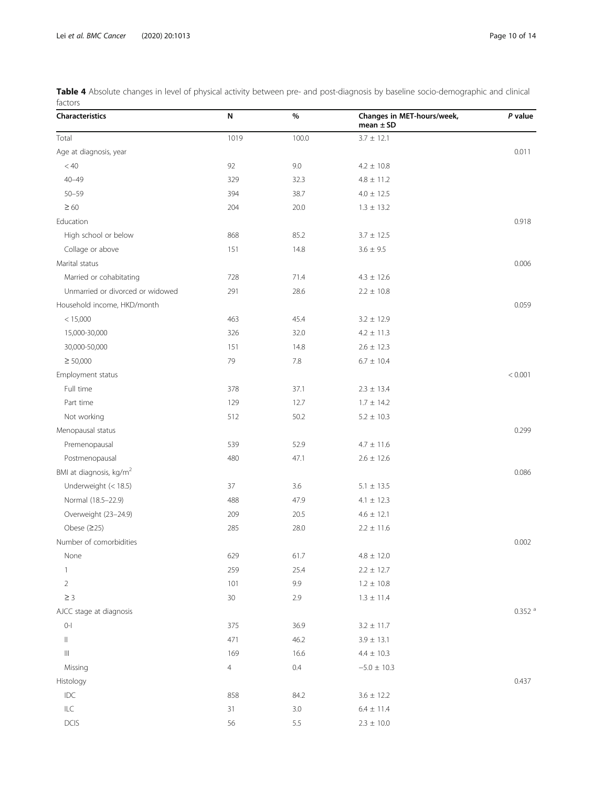<span id="page-9-0"></span>Table 4 Absolute changes in level of physical activity between pre- and post-diagnosis by baseline socio-demographic and clinical factors

| Characteristics                     | N              | %       | Changes in MET-hours/week,<br>mean $\pm$ SD | P value              |
|-------------------------------------|----------------|---------|---------------------------------------------|----------------------|
| Total                               | 1019           | 100.0   | $3.7 \pm 12.1$                              |                      |
| Age at diagnosis, year              |                |         |                                             | 0.011                |
| $< 40$                              | 92             | 9.0     | $4.2 \pm 10.8$                              |                      |
| $40 - 49$                           | 329            | 32.3    | $4.8 \pm 11.2$                              |                      |
| $50 - 59$                           | 394            | 38.7    | $4.0 \pm 12.5$                              |                      |
| $\geq 60$                           | 204            | 20.0    | $1.3 \pm 13.2$                              |                      |
| Education                           |                |         |                                             | 0.918                |
| High school or below                | 868            | 85.2    | $3.7 \pm 12.5$                              |                      |
| Collage or above                    | 151            | 14.8    | $3.6 \pm 9.5$                               |                      |
| Marital status                      |                |         |                                             | 0.006                |
| Married or cohabitating             | 728            | 71.4    | $4.3 \pm 12.6$                              |                      |
| Unmarried or divorced or widowed    | 291            | 28.6    | $2.2 \pm 10.8$                              |                      |
| Household income, HKD/month         |                |         |                                             | 0.059                |
| < 15,000                            | 463            | 45.4    | $3.2 \pm 12.9$                              |                      |
| 15,000-30,000                       | 326            | 32.0    | $4.2 \pm 11.3$                              |                      |
| 30,000-50,000                       | 151            | 14.8    | $2.6 \pm 12.3$                              |                      |
| $\geq 50,000$                       | 79             | 7.8     | $6.7 \pm 10.4$                              |                      |
| Employment status                   |                |         |                                             | < 0.001              |
| Full time                           | 378            | 37.1    | $2.3 \pm 13.4$                              |                      |
| Part time                           | 129            | 12.7    | $1.7 \pm 14.2$                              |                      |
| Not working                         | 512            | 50.2    | $5.2 \pm 10.3$                              |                      |
| Menopausal status                   |                |         |                                             | 0.299                |
| Premenopausal                       | 539            | 52.9    | $4.7 \pm 11.6$                              |                      |
| Postmenopausal                      | 480            | 47.1    | $2.6 \pm 12.6$                              |                      |
| BMI at diagnosis, kg/m <sup>2</sup> |                |         |                                             | 0.086                |
| Underweight (< 18.5)                | 37             | 3.6     | $5.1 \pm 13.5$                              |                      |
| Normal (18.5-22.9)                  | 488            | 47.9    | $4.1 \pm 12.3$                              |                      |
| Overweight (23-24.9)                | 209            | 20.5    | $4.6 \pm 12.1$                              |                      |
| Obese $(225)$                       | 285            | 28.0    | $2.2 \pm 11.6$                              |                      |
| Number of comorbidities             |                |         |                                             | 0.002                |
| None                                | 629            | 61.7    | $4.8 \pm 12.0$                              |                      |
| $\mathbf{1}$                        | 259            | 25.4    | $2.2\,\pm\,12.7$                            |                      |
| $\overline{2}$                      | 101            | 9.9     | $1.2 \pm 10.8$                              |                      |
| $\geq 3$                            | 30             | 2.9     | $1.3 \pm 11.4$                              |                      |
| AJCC stage at diagnosis             |                |         |                                             | $0.352$ <sup>a</sup> |
| $\left\vert 0\right\vert$           | 375            | 36.9    | $3.2 \pm 11.7$                              |                      |
| $\parallel$                         | 471            | 46.2    | $3.9 \pm 13.1$                              |                      |
| $\  \ $                             | 169            | 16.6    | $4.4 \pm 10.3$                              |                      |
| Missing                             | $\overline{4}$ | $0.4\,$ | $-5.0 \pm 10.3$                             |                      |
| Histology                           |                |         |                                             | 0.437                |
| $IDC$                               | 858            | 84.2    | $3.6 \pm 12.2$                              |                      |
| $\mathsf{ILC}$                      | 31             | 3.0     | $6.4 \pm 11.4$                              |                      |
| DCIS                                | 56             | 5.5     | $2.3 \pm 10.0$                              |                      |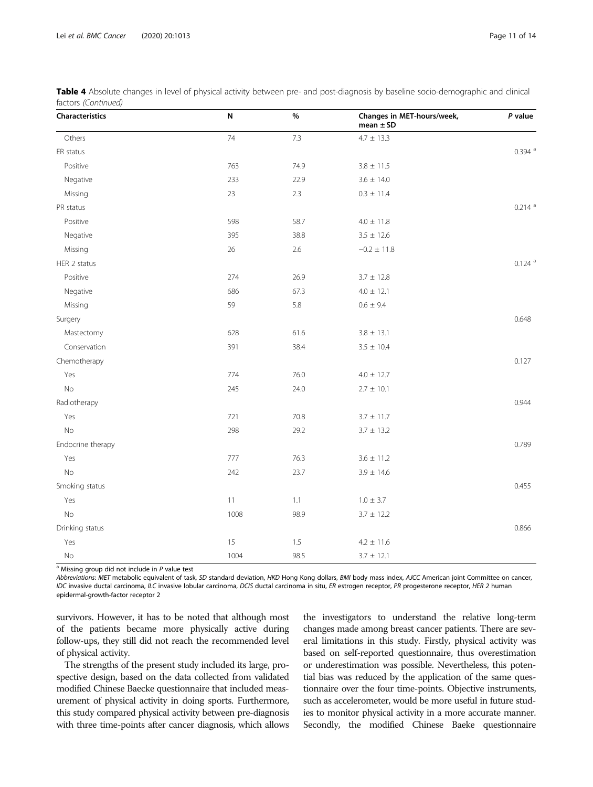| Characteristics   | N    | $\%$ | Changes in MET-hours/week,<br>mean $\pm$ SD | P value              |
|-------------------|------|------|---------------------------------------------|----------------------|
| Others            | 74   | 7.3  | $4.7 \pm 13.3$                              |                      |
| ER status         |      |      |                                             | $0.394$ <sup>a</sup> |
| Positive          | 763  | 74.9 | $3.8 \pm 11.5$                              |                      |
| Negative          | 233  | 22.9 | $3.6 \pm 14.0$                              |                      |
| Missing           | 23   | 2.3  | $0.3 \pm 11.4$                              |                      |
| PR status         |      |      |                                             | $0.214$ <sup>a</sup> |
| Positive          | 598  | 58.7 | $4.0\pm\,11.8$                              |                      |
| Negative          | 395  | 38.8 | $3.5 \pm 12.6$                              |                      |
| Missing           | 26   | 2.6  | $-0.2 \pm 11.8$                             |                      |
| HER 2 status      |      |      |                                             | $0.124$ <sup>a</sup> |
| Positive          | 274  | 26.9 | $3.7 \pm 12.8$                              |                      |
| Negative          | 686  | 67.3 | $4.0 \pm 12.1$                              |                      |
| Missing           | 59   | 5.8  | $0.6 \pm 9.4$                               |                      |
| Surgery           |      |      |                                             | 0.648                |
| Mastectomy        | 628  | 61.6 | $3.8 \pm 13.1$                              |                      |
| Conservation      | 391  | 38.4 | $3.5 \pm 10.4$                              |                      |
| Chemotherapy      |      |      |                                             | 0.127                |
| Yes               | 774  | 76.0 | $4.0 \pm 12.7$                              |                      |
| $\rm No$          | 245  | 24.0 | $2.7 \pm 10.1$                              |                      |
| Radiotherapy      |      |      |                                             | 0.944                |
| Yes               | 721  | 70.8 | $3.7 \pm 11.7$                              |                      |
| <b>No</b>         | 298  | 29.2 | $3.7 \pm 13.2$                              |                      |
| Endocrine therapy |      |      |                                             | 0.789                |
| Yes               | 777  | 76.3 | $3.6 \pm 11.2$                              |                      |
| No                | 242  | 23.7 | $3.9 \pm 14.6$                              |                      |
| Smoking status    |      |      |                                             | 0.455                |
| Yes               | 11   | 1.1  | $1.0 \pm 3.7$                               |                      |
| No                | 1008 | 98.9 | $3.7 \pm 12.2$                              |                      |
| Drinking status   |      |      |                                             | 0.866                |
| Yes               | 15   | 1.5  | $4.2 \pm 11.6$                              |                      |
| No                | 1004 | 98.5 | $3.7 \pm 12.1$                              |                      |

Table 4 Absolute changes in level of physical activity between pre- and post-diagnosis by baseline socio-demographic and clinical factors (Continued)

 $a$  Missing group did not include in  $P$  value test

Abbreviations: MET metabolic equivalent of task, SD standard deviation, HKD Hong Kong dollars, BMI body mass index, AJCC American joint Committee on cancer, IDC invasive ductal carcinoma, ILC invasive lobular carcinoma, DCIS ductal carcinoma in situ, ER estrogen receptor, PR progesterone receptor, HER 2 human epidermal-growth-factor receptor 2

survivors. However, it has to be noted that although most of the patients became more physically active during follow-ups, they still did not reach the recommended level of physical activity.

The strengths of the present study included its large, prospective design, based on the data collected from validated modified Chinese Baecke questionnaire that included measurement of physical activity in doing sports. Furthermore, this study compared physical activity between pre-diagnosis with three time-points after cancer diagnosis, which allows

the investigators to understand the relative long-term changes made among breast cancer patients. There are several limitations in this study. Firstly, physical activity was based on self-reported questionnaire, thus overestimation or underestimation was possible. Nevertheless, this potential bias was reduced by the application of the same questionnaire over the four time-points. Objective instruments, such as accelerometer, would be more useful in future studies to monitor physical activity in a more accurate manner. Secondly, the modified Chinese Baeke questionnaire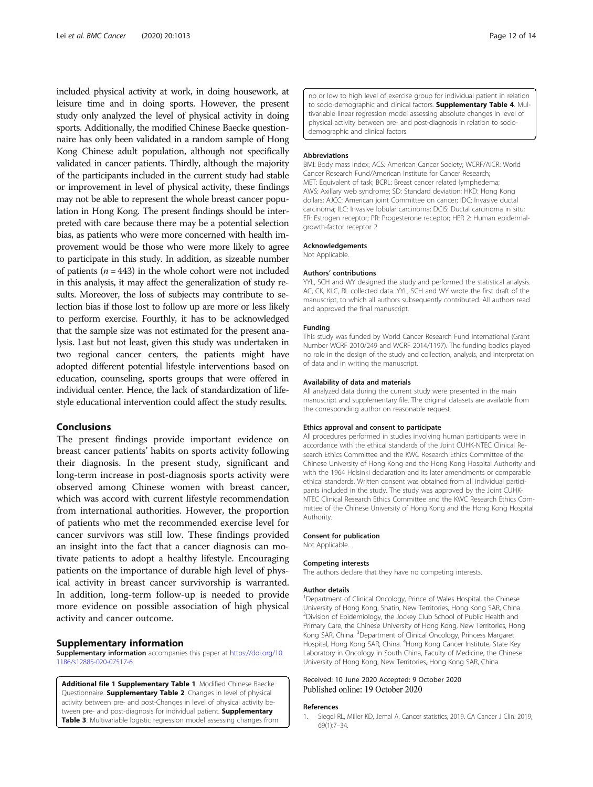<span id="page-11-0"></span>included physical activity at work, in doing housework, at leisure time and in doing sports. However, the present study only analyzed the level of physical activity in doing sports. Additionally, the modified Chinese Baecke questionnaire has only been validated in a random sample of Hong Kong Chinese adult population, although not specifically validated in cancer patients. Thirdly, although the majority of the participants included in the current study had stable or improvement in level of physical activity, these findings may not be able to represent the whole breast cancer population in Hong Kong. The present findings should be interpreted with care because there may be a potential selection bias, as patients who were more concerned with health improvement would be those who were more likely to agree to participate in this study. In addition, as sizeable number of patients ( $n = 443$ ) in the whole cohort were not included in this analysis, it may affect the generalization of study results. Moreover, the loss of subjects may contribute to selection bias if those lost to follow up are more or less likely to perform exercise. Fourthly, it has to be acknowledged that the sample size was not estimated for the present analysis. Last but not least, given this study was undertaken in two regional cancer centers, the patients might have adopted different potential lifestyle interventions based on education, counseling, sports groups that were offered in individual center. Hence, the lack of standardization of lifestyle educational intervention could affect the study results.

## Conclusions

The present findings provide important evidence on breast cancer patients' habits on sports activity following their diagnosis. In the present study, significant and long-term increase in post-diagnosis sports activity were observed among Chinese women with breast cancer, which was accord with current lifestyle recommendation from international authorities. However, the proportion of patients who met the recommended exercise level for cancer survivors was still low. These findings provided an insight into the fact that a cancer diagnosis can motivate patients to adopt a healthy lifestyle. Encouraging patients on the importance of durable high level of physical activity in breast cancer survivorship is warranted. In addition, long-term follow-up is needed to provide more evidence on possible association of high physical activity and cancer outcome.

#### Supplementary information

Supplementary information accompanies this paper at [https://doi.org/10.](https://doi.org/10.1186/s12885-020-07517-6) [1186/s12885-020-07517-6](https://doi.org/10.1186/s12885-020-07517-6).

Additional file 1 Supplementary Table 1. Modified Chinese Baecke Questionnaire. **Supplementary Table 2**. Changes in level of physical activity between pre- and post-Changes in level of physical activity between pre- and post-diagnosis for individual patient. Supplementary Table 3. Multivariable logistic regression model assessing changes from no or low to high level of exercise group for individual patient in relation to socio-demographic and clinical factors. **Supplementary Table 4**. Multivariable linear regression model assessing absolute changes in level of physical activity between pre- and post-diagnosis in relation to sociodemographic and clinical factors.

#### Abbreviations

BMI: Body mass index; ACS: American Cancer Society; WCRF/AICR: World Cancer Research Fund/American Institute for Cancer Research; MET: Equivalent of task; BCRL: Breast cancer related lymphedema; AWS: Axillary web syndrome; SD: Standard deviation; HKD: Hong Kong dollars; AJCC: American joint Committee on cancer; IDC: Invasive ductal carcinoma; ILC: Invasive lobular carcinoma; DCIS: Ductal carcinoma in situ; ER: Estrogen receptor; PR: Progesterone receptor; HER 2: Human epidermalgrowth-factor receptor 2

#### Acknowledgements

Not Applicable.

#### Authors' contributions

YYL, SCH and WY designed the study and performed the statistical analysis. AC, CK, KLC, RL collected data. YYL, SCH and WY wrote the first draft of the manuscript, to which all authors subsequently contributed. All authors read and approved the final manuscript.

#### Funding

This study was funded by World Cancer Research Fund International (Grant Number WCRF 2010/249 and WCRF 2014/1197). The funding bodies played no role in the design of the study and collection, analysis, and interpretation of data and in writing the manuscript.

#### Availability of data and materials

All analyzed data during the current study were presented in the main manuscript and supplementary file. The original datasets are available from the corresponding author on reasonable request.

#### Ethics approval and consent to participate

All procedures performed in studies involving human participants were in accordance with the ethical standards of the Joint CUHK-NTEC Clinical Research Ethics Committee and the KWC Research Ethics Committee of the Chinese University of Hong Kong and the Hong Kong Hospital Authority and with the 1964 Helsinki declaration and its later amendments or comparable ethical standards. Written consent was obtained from all individual participants included in the study. The study was approved by the Joint CUHK-NTEC Clinical Research Ethics Committee and the KWC Research Ethics Committee of the Chinese University of Hong Kong and the Hong Kong Hospital Authority.

#### Consent for publication

Not Applicable.

#### Competing interests

The authors declare that they have no competing interests.

#### Author details

<sup>1</sup>Department of Clinical Oncology, Prince of Wales Hospital, the Chinese University of Hong Kong, Shatin, New Territories, Hong Kong SAR, China. <sup>2</sup> Division of Epidemiology, the Jockey Club School of Public Health and Primary Care, the Chinese University of Hong Kong, New Territories, Hong Kong SAR, China. <sup>3</sup>Department of Clinical Oncology, Princess Margaret Hospital, Hong Kong SAR, China. <sup>4</sup>Hong Kong Cancer Institute, State Key Laboratory in Oncology in South China, Faculty of Medicine, the Chinese University of Hong Kong, New Territories, Hong Kong SAR, China.

#### Received: 10 June 2020 Accepted: 9 October 2020 Published online: 19 October 2020

#### References

1. Siegel RL, Miller KD, Jemal A. Cancer statistics, 2019. CA Cancer J Clin. 2019; 69(1):7–34.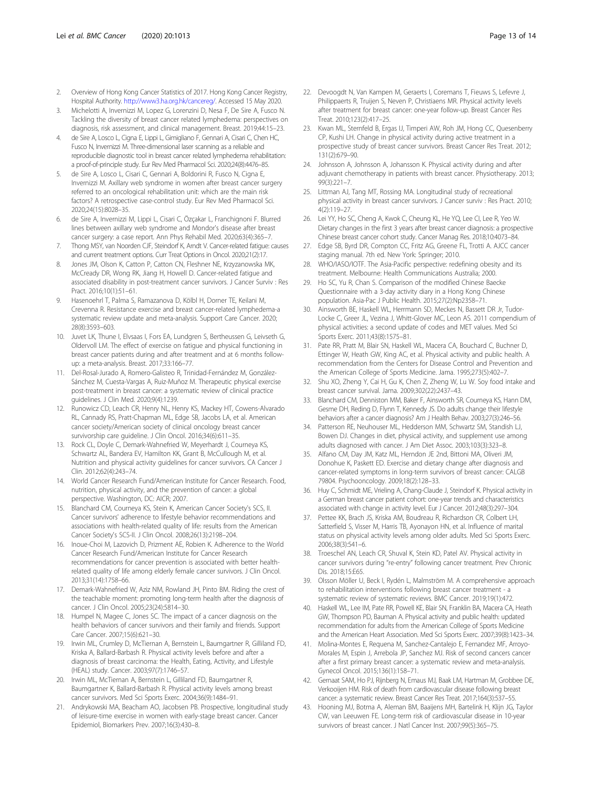- <span id="page-12-0"></span>2. Overview of Hong Kong Cancer Statistics of 2017. Hong Kong Cancer Registry, Hospital Authority. <http://www3.ha.org.hk/cancereg/>. Accessed 15 May 2020.
- 3. Michelotti A, Invernizzi M, Lopez G, Lorenzini D, Nesa F, De Sire A, Fusco N. Tackling the diversity of breast cancer related lymphedema: perspectives on diagnosis, risk assessment, and clinical management. Breast. 2019;44:15–23.
- 4. de Sire A, Losco L, Cigna E, Lippi L, Gimigliano F, Gennari A, Cisari C, Chen HC, Fusco N, Invernizzi M. Three-dimensional laser scanning as a reliable and reproducible diagnostic tool in breast cancer related lymphedema rehabilitation: a proof-of-principle study. Eur Rev Med Pharmacol Sci. 2020;24(8):4476–85.
- 5. de Sire A, Losco L, Cisari C, Gennari A, Boldorini R, Fusco N, Cigna E, Invernizzi M. Axillary web syndrome in women after breast cancer surgery referred to an oncological rehabilitation unit: which are the main risk factors? A retrospective case-control study. Eur Rev Med Pharmacol Sci. 2020;24(15):8028–35.
- 6. de Sire A, Invernizzi M, Lippi L, Cisari C, Özçakar L, Franchignoni F. Blurred lines between axillary web syndrome and Mondor's disease after breast cancer surgery: a case report. Ann Phys Rehabil Med. 2020;63(4):365–7.
- 7. Thong MSY, van Noorden CJF, Steindorf K, Arndt V. Cancer-related fatigue: causes and current treatment options. Curr Treat Options in Oncol. 2020;21(2):17.
- 8. Jones JM, Olson K, Catton P, Catton CN, Fleshner NE, Krzyzanowska MK, McCready DR, Wong RK, Jiang H, Howell D. Cancer-related fatigue and associated disability in post-treatment cancer survivors. J Cancer Surviv : Res Pract. 2016;10(1):51–61.
- 9. Hasenoehrl T, Palma S, Ramazanova D, Kölbl H, Dorner TE, Keilani M, Crevenna R. Resistance exercise and breast cancer-related lymphedema-a systematic review update and meta-analysis. Support Care Cancer. 2020; 28(8):3593–603.
- 10. Juvet LK, Thune I, Elvsaas I, Fors EA, Lundgren S, Bertheussen G, Leivseth G, Oldervoll LM. The effect of exercise on fatigue and physical functioning in breast cancer patients during and after treatment and at 6 months followup: a meta-analysis. Breast. 2017;33:166–77.
- 11. Del-Rosal-Jurado A, Romero-Galisteo R, Trinidad-Fernández M, González-Sánchez M, Cuesta-Vargas A, Ruiz-Muñoz M. Therapeutic physical exercise post-treatment in breast cancer: a systematic review of clinical practice guidelines. J Clin Med. 2020;9(4):1239.
- 12. Runowicz CD, Leach CR, Henry NL, Henry KS, Mackey HT, Cowens-Alvarado RL, Cannady RS, Pratt-Chapman ML, Edge SB, Jacobs LA, et al. American cancer society/American society of clinical oncology breast cancer survivorship care guideline. J Clin Oncol. 2016;34(6):611–35.
- 13. Rock CL, Doyle C, Demark-Wahnefried W, Meyerhardt J, Courneya KS, Schwartz AL, Bandera EV, Hamilton KK, Grant B, McCullough M, et al. Nutrition and physical activity guidelines for cancer survivors. CA Cancer J Clin. 2012;62(4):243–74.
- 14. World Cancer Research Fund/American Institute for Cancer Research. Food, nutrition, physical activity, and the prevention of cancer: a global perspective. Washington, DC: AICR; 2007.
- 15. Blanchard CM, Courneya KS, Stein K, American Cancer Society's SCS, II. Cancer survivors' adherence to lifestyle behavior recommendations and associations with health-related quality of life: results from the American Cancer Society's SCS-II. J Clin Oncol. 2008;26(13):2198–204.
- 16. Inoue-Choi M, Lazovich D, Prizment AE, Robien K. Adherence to the World Cancer Research Fund/American Institute for Cancer Research recommendations for cancer prevention is associated with better healthrelated quality of life among elderly female cancer survivors. J Clin Oncol. 2013;31(14):1758–66.
- 17. Demark-Wahnefried W, Aziz NM, Rowland JH, Pinto BM. Riding the crest of the teachable moment: promoting long-term health after the diagnosis of cancer. J Clin Oncol. 2005;23(24):5814–30.
- 18. Humpel N, Magee C, Jones SC. The impact of a cancer diagnosis on the health behaviors of cancer survivors and their family and friends. Support Care Cancer. 2007;15(6):621–30.
- 19. Irwin ML, Crumley D, McTiernan A, Bernstein L, Baumgartner R, Gilliland FD, Kriska A, Ballard-Barbash R. Physical activity levels before and after a diagnosis of breast carcinoma: the Health, Eating, Activity, and Lifestyle (HEAL) study. Cancer. 2003;97(7):1746–57.
- 20. Irwin ML, McTiernan A, Bernstein L, Gilliland FD, Baumgartner R, Baumgartner K, Ballard-Barbash R. Physical activity levels among breast cancer survivors. Med Sci Sports Exerc. 2004;36(9):1484–91.
- 21. Andrykowski MA, Beacham AO, Jacobsen PB. Prospective, longitudinal study of leisure-time exercise in women with early-stage breast cancer. Cancer Epidemiol, Biomarkers Prev. 2007;16(3):430–8.
- 22. Devoogdt N, Van Kampen M, Geraerts I, Coremans T, Fieuws S, Lefevre J, Philippaerts R, Truijen S, Neven P, Christiaens MR. Physical activity levels after treatment for breast cancer: one-year follow-up. Breast Cancer Res Treat. 2010;123(2):417–25.
- 23. Kwan ML, Sternfeld B, Ergas IJ, Timperi AW, Roh JM, Hong CC, Quesenberry CP, Kushi LH. Change in physical activity during active treatment in a prospective study of breast cancer survivors. Breast Cancer Res Treat. 2012; 131(2):679–90.
- 24. Johnsson A, Johnsson A, Johansson K. Physical activity during and after adjuvant chemotherapy in patients with breast cancer. Physiotherapy. 2013; 99(3):221–7.
- 25. Littman AJ, Tang MT, Rossing MA. Longitudinal study of recreational physical activity in breast cancer survivors. J Cancer surviv : Res Pract. 2010; 4(2):119–27.
- 26. Lei YY, Ho SC, Cheng A, Kwok C, Cheung KL, He YQ, Lee CI, Lee R, Yeo W. Dietary changes in the first 3 years after breast cancer diagnosis: a prospective Chinese breast cancer cohort study. Cancer Manag Res. 2018;10:4073–84.
- 27. Edge SB, Byrd DR, Compton CC, Fritz AG, Greene FL, Trotti A. AJCC cancer staging manual. 7th ed. New York: Springer; 2010.
- 28. WHO/IASO/IOTF. The Asia-Pacific perspective: redefining obesity and its treatment. Melbourne: Health Communications Australia; 2000.
- 29. Ho SC, Yu R, Chan S. Comparison of the modified Chinese Baecke Questionnaire with a 3-day activity diary in a Hong Kong Chinese population. Asia-Pac J Public Health. 2015;27(2):Np2358–71.
- 30. Ainsworth BE, Haskell WL, Herrmann SD, Meckes N, Bassett DR Jr, Tudor-Locke C, Greer JL, Vezina J, Whitt-Glover MC, Leon AS. 2011 compendium of physical activities: a second update of codes and MET values. Med Sci Sports Exerc. 2011;43(8):1575–81.
- 31. Pate RR, Pratt M, Blair SN, Haskell WL, Macera CA, Bouchard C, Buchner D, Ettinger W, Heath GW, King AC, et al. Physical activity and public health. A recommendation from the Centers for Disease Control and Prevention and the American College of Sports Medicine. Jama. 1995;273(5):402–7.
- 32. Shu XO, Zheng Y, Cai H, Gu K, Chen Z, Zheng W, Lu W. Soy food intake and breast cancer survival. Jama. 2009;302(22):2437–43.
- 33. Blanchard CM, Denniston MM, Baker F, Ainsworth SR, Courneya KS, Hann DM, Gesme DH, Reding D, Flynn T, Kennedy JS. Do adults change their lifestyle behaviors after a cancer diagnosis? Am J Health Behav. 2003;27(3):246–56.
- 34. Patterson RE, Neuhouser ML, Hedderson MM, Schwartz SM, Standish LJ, Bowen DJ. Changes in diet, physical activity, and supplement use among adults diagnosed with cancer. J Am Diet Assoc. 2003;103(3):323–8.
- 35. Alfano CM, Day JM, Katz ML, Herndon JE 2nd, Bittoni MA, Oliveri JM, Donohue K, Paskett ED. Exercise and dietary change after diagnosis and cancer-related symptoms in long-term survivors of breast cancer: CALGB 79804. Psychooncology. 2009;18(2):128–33.
- 36. Huy C, Schmidt ME, Vrieling A, Chang-Claude J, Steindorf K. Physical activity in a German breast cancer patient cohort: one-year trends and characteristics associated with change in activity level. Eur J Cancer. 2012;48(3):297–304.
- 37. Pettee KK, Brach JS, Kriska AM, Boudreau R, Richardson CR, Colbert LH, Satterfield S, Visser M, Harris TB, Ayonayon HN, et al. Influence of marital status on physical activity levels among older adults. Med Sci Sports Exerc. 2006;38(3):541–6.
- 38. Troeschel AN, Leach CR, Shuval K, Stein KD, Patel AV. Physical activity in cancer survivors during "re-entry" following cancer treatment. Prev Chronic Dis. 2018;15:E65.
- Olsson Möller U, Beck I, Rydén L, Malmström M. A comprehensive approach to rehabilitation interventions following breast cancer treatment - a systematic review of systematic reviews. BMC Cancer. 2019;19(1):472.
- 40. Haskell WL, Lee IM, Pate RR, Powell KE, Blair SN, Franklin BA, Macera CA, Heath GW, Thompson PD, Bauman A. Physical activity and public health: updated recommendation for adults from the American College of Sports Medicine and the American Heart Association. Med Sci Sports Exerc. 2007;39(8):1423–34.
- 41. Molina-Montes E, Requena M, Sanchez-Cantalejo E, Fernandez MF, Arroyo-Morales M, Espin J, Arrebola JP, Sanchez MJ. Risk of second cancers cancer after a first primary breast cancer: a systematic review and meta-analysis. Gynecol Oncol. 2015;136(1):158–71.
- 42. Gernaat SAM, Ho PJ, Rijnberg N, Emaus MJ, Baak LM, Hartman M, Grobbee DE, Verkooijen HM. Risk of death from cardiovascular disease following breast cancer: a systematic review. Breast Cancer Res Treat. 2017;164(3):537–55.
- 43. Hooning MJ, Botma A, Aleman BM, Baaijens MH, Bartelink H, Klijn JG, Taylor CW, van Leeuwen FE. Long-term risk of cardiovascular disease in 10-year survivors of breast cancer. J Natl Cancer Inst. 2007;99(5):365–75.